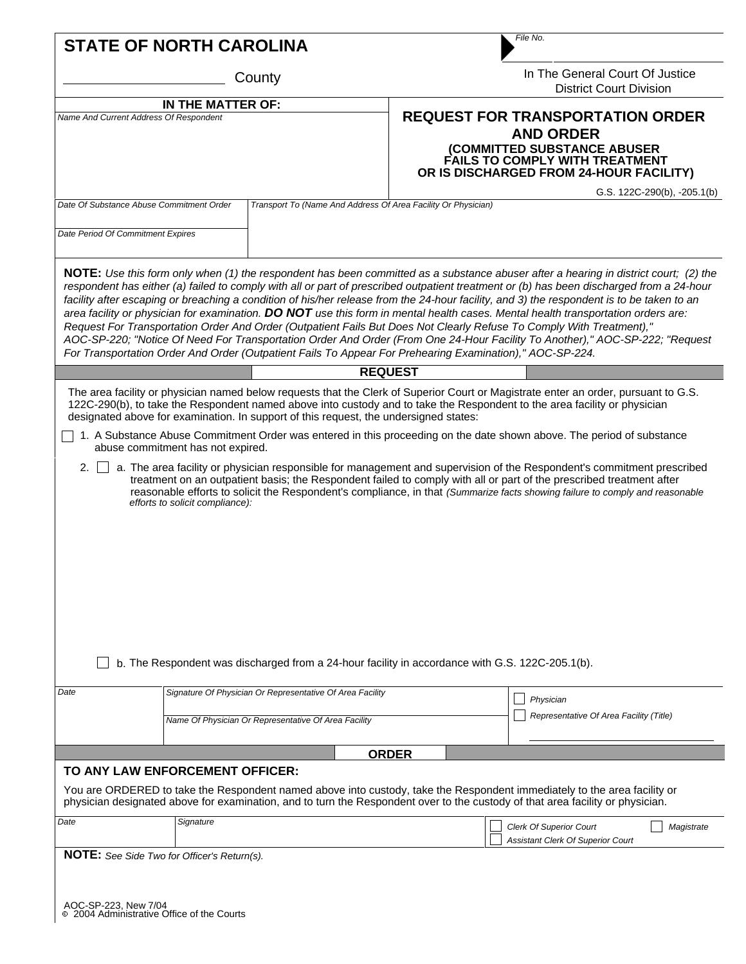| <b>STATE OF NORTH CAROLINA</b>                              |                                                                      |                                                                                                                                                                                          | File No.                                                                                                                                                                       |                                                                                                                                                                                                                                                                                                                                                                                                                                                                                                                                                                                                                                                                                                                                                                                                                            |  |  |  |
|-------------------------------------------------------------|----------------------------------------------------------------------|------------------------------------------------------------------------------------------------------------------------------------------------------------------------------------------|--------------------------------------------------------------------------------------------------------------------------------------------------------------------------------|----------------------------------------------------------------------------------------------------------------------------------------------------------------------------------------------------------------------------------------------------------------------------------------------------------------------------------------------------------------------------------------------------------------------------------------------------------------------------------------------------------------------------------------------------------------------------------------------------------------------------------------------------------------------------------------------------------------------------------------------------------------------------------------------------------------------------|--|--|--|
|                                                             |                                                                      | County                                                                                                                                                                                   | In The General Court Of Justice<br><b>District Court Division</b>                                                                                                              |                                                                                                                                                                                                                                                                                                                                                                                                                                                                                                                                                                                                                                                                                                                                                                                                                            |  |  |  |
| IN THE MATTER OF:<br>Name And Current Address Of Respondent |                                                                      |                                                                                                                                                                                          | <b>REQUEST FOR TRANSPORTATION ORDER</b><br><b>AND ORDER</b><br>(COMMITTED SUBSTANCE ABUSER<br><b>FAILS TO COMPLY WITH TREATMENT</b><br>OR IS DISCHARGED FROM 24-HOUR FACILITY) |                                                                                                                                                                                                                                                                                                                                                                                                                                                                                                                                                                                                                                                                                                                                                                                                                            |  |  |  |
|                                                             | Date Of Substance Abuse Commitment Order                             | Transport To (Name And Address Of Area Facility Or Physician)                                                                                                                            |                                                                                                                                                                                | G.S. 122C-290(b), -205.1(b)                                                                                                                                                                                                                                                                                                                                                                                                                                                                                                                                                                                                                                                                                                                                                                                                |  |  |  |
| Date Period Of Commitment Expires                           |                                                                      |                                                                                                                                                                                          |                                                                                                                                                                                |                                                                                                                                                                                                                                                                                                                                                                                                                                                                                                                                                                                                                                                                                                                                                                                                                            |  |  |  |
|                                                             |                                                                      | For Transportation Order And Order (Outpatient Fails To Appear For Prehearing Examination)," AOC-SP-224.                                                                                 |                                                                                                                                                                                | NOTE: Use this form only when (1) the respondent has been committed as a substance abuser after a hearing in district court; (2) the<br>respondent has either (a) failed to comply with all or part of prescribed outpatient treatment or (b) has been discharged from a 24-hour<br>facility after escaping or breaching a condition of his/her release from the 24-hour facility, and 3) the respondent is to be taken to an<br>area facility or physician for examination. DO NOT use this form in mental health cases. Mental health transportation orders are:<br>Request For Transportation Order And Order (Outpatient Fails But Does Not Clearly Refuse To Comply With Treatment),"<br>AOC-SP-220; "Notice Of Need For Transportation Order And Order (From One 24-Hour Facility To Another)," AOC-SP-222; "Request |  |  |  |
|                                                             |                                                                      |                                                                                                                                                                                          | <b>REQUEST</b>                                                                                                                                                                 |                                                                                                                                                                                                                                                                                                                                                                                                                                                                                                                                                                                                                                                                                                                                                                                                                            |  |  |  |
| 2.                                                          | abuse commitment has not expired.<br>efforts to solicit compliance): | designated above for examination. In support of this request, the undersigned states:<br>b. The Respondent was discharged from a 24-hour facility in accordance with G.S. 122C-205.1(b). |                                                                                                                                                                                | 122C-290(b), to take the Respondent named above into custody and to take the Respondent to the area facility or physician<br>1. A Substance Abuse Commitment Order was entered in this proceeding on the date shown above. The period of substance<br>a. The area facility or physician responsible for management and supervision of the Respondent's commitment prescribed<br>treatment on an outpatient basis; the Respondent failed to comply with all or part of the prescribed treatment after<br>reasonable efforts to solicit the Respondent's compliance, in that (Summarize facts showing failure to comply and reasonable                                                                                                                                                                                       |  |  |  |
| Date                                                        |                                                                      | Signature Of Physician Or Representative Of Area Facility                                                                                                                                |                                                                                                                                                                                | Physician                                                                                                                                                                                                                                                                                                                                                                                                                                                                                                                                                                                                                                                                                                                                                                                                                  |  |  |  |
|                                                             |                                                                      | Name Of Physician Or Representative Of Area Facility                                                                                                                                     |                                                                                                                                                                                | Representative Of Area Facility (Title)                                                                                                                                                                                                                                                                                                                                                                                                                                                                                                                                                                                                                                                                                                                                                                                    |  |  |  |
|                                                             |                                                                      |                                                                                                                                                                                          |                                                                                                                                                                                |                                                                                                                                                                                                                                                                                                                                                                                                                                                                                                                                                                                                                                                                                                                                                                                                                            |  |  |  |
|                                                             | TO ANY LAW ENFORCEMENT OFFICER:                                      |                                                                                                                                                                                          | <b>ORDER</b>                                                                                                                                                                   | You are ORDERED to take the Respondent named above into custody, take the Respondent immediately to the area facility or<br>physician designated above for examination, and to turn the Respondent over to the custody of that area facility or physician.                                                                                                                                                                                                                                                                                                                                                                                                                                                                                                                                                                 |  |  |  |
| Date                                                        | Signature                                                            |                                                                                                                                                                                          |                                                                                                                                                                                | <b>Clerk Of Superior Court</b><br>Magistrate<br>Assistant Clerk Of Superior Court                                                                                                                                                                                                                                                                                                                                                                                                                                                                                                                                                                                                                                                                                                                                          |  |  |  |
|                                                             | NOTE: See Side Two for Officer's Return(s).                          |                                                                                                                                                                                          |                                                                                                                                                                                |                                                                                                                                                                                                                                                                                                                                                                                                                                                                                                                                                                                                                                                                                                                                                                                                                            |  |  |  |
|                                                             | AOC-SP-223, New 7/04<br>© 2004 Administrative Office of the Courts   |                                                                                                                                                                                          |                                                                                                                                                                                |                                                                                                                                                                                                                                                                                                                                                                                                                                                                                                                                                                                                                                                                                                                                                                                                                            |  |  |  |